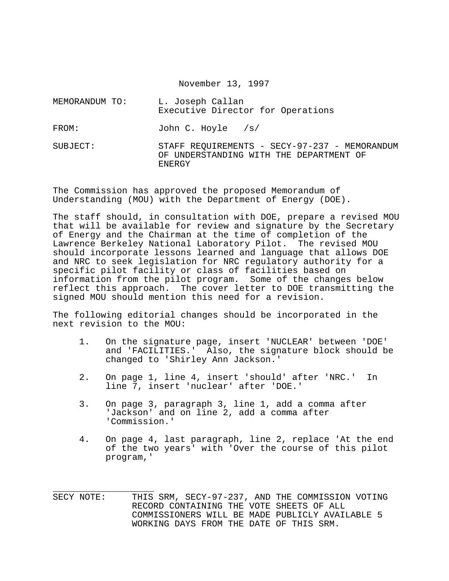November 13, 1997

| MEMORANDUM TO: | L. Joseph Callan<br>Executive Director for Operations                                    |
|----------------|------------------------------------------------------------------------------------------|
| FROM:          | John C. Hoyle $/s/$                                                                      |
| SUBJECT:       | STAFF REQUIREMENTS - SECY-97-237 - MEMORANDUM<br>OF UNDERSTANDING WITH THE DEPARTMENT OF |

The Commission has approved the proposed Memorandum of Understanding (MOU) with the Department of Energy (DOE).

ENERGY

The staff should, in consultation with DOE, prepare a revised MOU that will be available for review and signature by the Secretary of Energy and the Chairman at the time of completion of the Lawrence Berkeley National Laboratory Pilot. The revised MOU should incorporate lessons learned and language that allows DOE and NRC to seek legislation for NRC regulatory authority for a specific pilot facility or class of facilities based on information from the pilot program. Some of the changes below reflect this approach. The cover letter to DOE transmitting the signed MOU should mention this need for a revision.

The following editorial changes should be incorporated in the next revision to the MOU:

- 1. On the signature page, insert 'NUCLEAR' between 'DOE' and 'FACILITIES.' Also, the signature block should be changed to 'Shirley Ann Jackson.'
- 2. On page 1, line 4, insert 'should' after 'NRC.' In line 7, insert 'nuclear' after 'DOE.'
- 3. On page 3, paragraph 3, line 1, add a comma after 'Jackson' and on line 2, add a comma after 'Commission.'
- 4. On page 4, last paragraph, line 2, replace 'At the end of the two years' with 'Over the course of this pilot program,'

\_\_\_\_\_\_\_\_\_\_\_\_\_\_\_\_\_\_\_ SECY NOTE: THIS SRM, SECY-97-237, AND THE COMMISSION VOTING RECORD CONTAINING THE VOTE SHEETS OF ALL COMMISSIONERS WILL BE MADE PUBLICLY AVAILABLE 5 WORKING DAYS FROM THE DATE OF THIS SRM.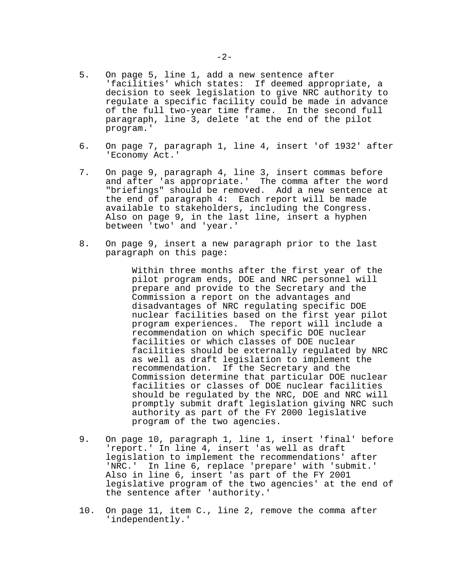- 5. On page 5, line 1, add a new sentence after 'facilities' which states: If deemed appropriate, a decision to seek legislation to give NRC authority to regulate a specific facility could be made in advance of the full two-year time frame. In the second full paragraph, line 3, delete 'at the end of the pilot program.'
- 6. On page 7, paragraph 1, line 4, insert 'of 1932' after 'Economy Act.'
- 7. On page 9, paragraph 4, line 3, insert commas before and after 'as appropriate.' The comma after the word "briefings" should be removed. Add a new sentence at the end of paragraph 4: Each report will be made available to stakeholders, including the Congress. Also on page 9, in the last line, insert a hyphen between 'two' and 'year.'
- 8. On page 9, insert a new paragraph prior to the last paragraph on this page:

Within three months after the first year of the pilot program ends, DOE and NRC personnel will prepare and provide to the Secretary and the Commission a report on the advantages and disadvantages of NRC regulating specific DOE nuclear facilities based on the first year pilot program experiences. The report will include a recommendation on which specific DOE nuclear facilities or which classes of DOE nuclear facilities should be externally regulated by NRC as well as draft legislation to implement the recommendation. If the Secretary and the Commission determine that particular DOE nuclear facilities or classes of DOE nuclear facilities should be regulated by the NRC, DOE and NRC will promptly submit draft legislation giving NRC such authority as part of the FY 2000 legislative program of the two agencies.

- 9. On page 10, paragraph 1, line 1, insert 'final' before 'report.' In line 4, insert 'as well as draft legislation to implement the recommendations' after 'NRC.' In line 6, replace 'prepare' with 'submit.' Also in line 6, insert 'as part of the FY 2001 legislative program of the two agencies' at the end of the sentence after 'authority.'
- 10. On page 11, item C., line 2, remove the comma after 'independently.'